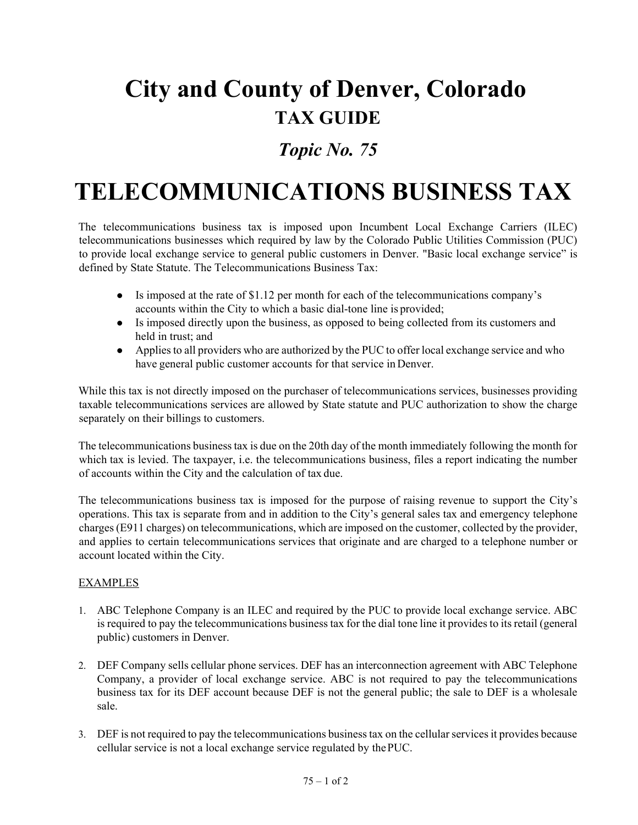## **City and County of Denver, Colorado TAX GUIDE**

## *Topic No. 75*

## **TELECOMMUNICATIONS BUSINESS TAX**

The telecommunications business tax is imposed upon Incumbent Local Exchange Carriers (ILEC) telecommunications businesses which required by law by the Colorado Public Utilities Commission (PUC) to provide local exchange service to general public customers in Denver. "Basic local exchange service" is defined by State Statute. The Telecommunications Business Tax:

- $\bullet$  Is imposed at the rate of \$1.12 per month for each of the telecommunications company's accounts within the City to which a basic dial-tone line is provided;
- Is imposed directly upon the business, as opposed to being collected from its customers and held in trust; and
- Applies to all providers who are authorized by the PUC to offer local exchange service and who have general public customer accounts for that service inDenver.

While this tax is not directly imposed on the purchaser of telecommunications services, businesses providing taxable telecommunications services are allowed by State statute and PUC authorization to show the charge separately on their billings to customers.

The telecommunications business tax is due on the 20th day of the month immediately following the month for which tax is levied. The taxpayer, i.e. the telecommunications business, files a report indicating the number of accounts within the City and the calculation of tax due.

The telecommunications business tax is imposed for the purpose of raising revenue to support the City's operations. This tax is separate from and in addition to the City's general sales tax and emergency telephone charges (E911 charges) on telecommunications, which are imposed on the customer, collected by the provider, and applies to certain telecommunications services that originate and are charged to a telephone number or account located within the City.

## EXAMPLES

- 1. ABC Telephone Company is an ILEC and required by the PUC to provide local exchange service. ABC is required to pay the telecommunications business tax for the dial tone line it provides to its retail (general public) customers in Denver.
- 2. DEF Company sells cellular phone services. DEF has an interconnection agreement with ABC Telephone Company, a provider of local exchange service. ABC is not required to pay the telecommunications business tax for its DEF account because DEF is not the general public; the sale to DEF is a wholesale sale.
- 3. DEF is not required to pay the telecommunications business tax on the cellular services it provides because cellular service is not a local exchange service regulated by thePUC.